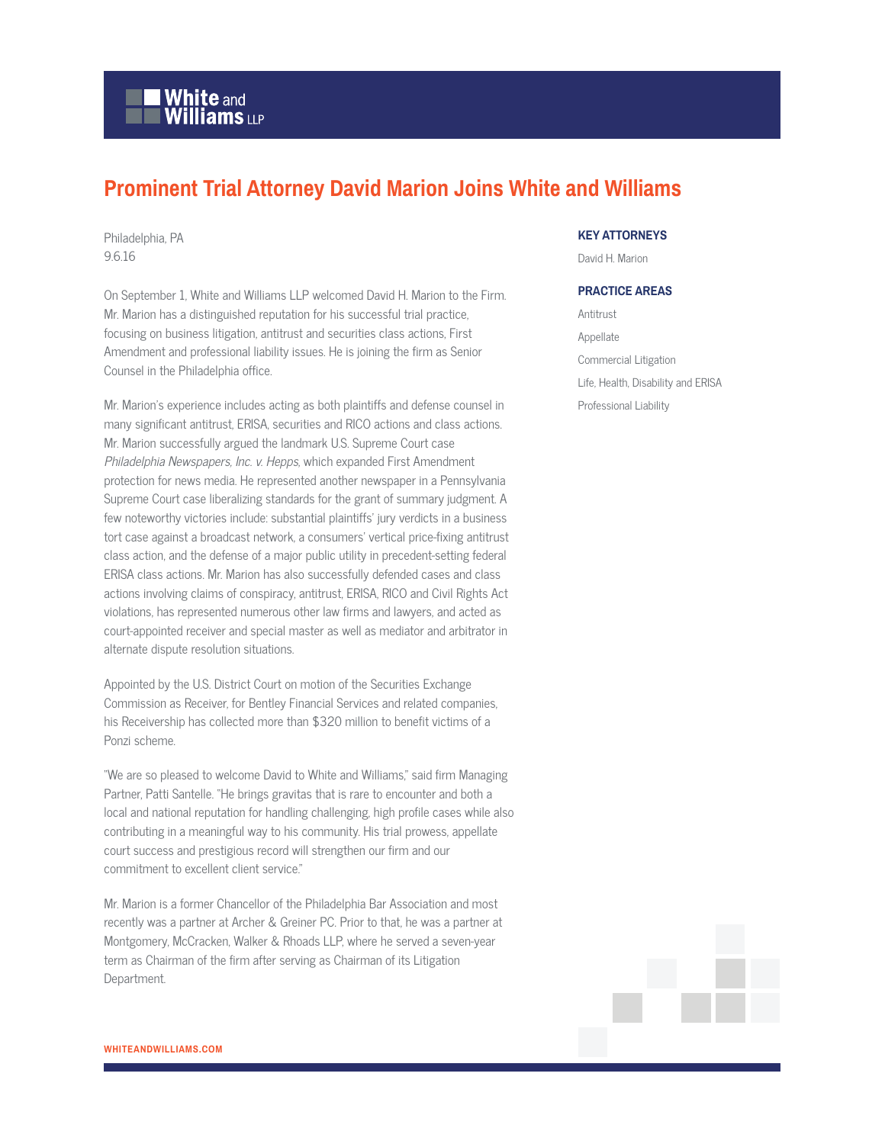## **White and Williams LLP**

## **Prominent Trial Attorney David Marion Joins White and Williams**

Philadelphia, PA 9.6.16

On September 1, White and Williams LLP welcomed David H. Marion to the Firm. Mr. Marion has a distinguished reputation for his successful trial practice, focusing on business litigation, antitrust and securities class actions, First Amendment and professional liability issues. He is joining the firm as Senior Counsel in the Philadelphia office.

Mr. Marion's experience includes acting as both plaintiffs and defense counsel in many significant antitrust, ERISA, securities and RICO actions and class actions. Mr. Marion successfully argued the landmark U.S. Supreme Court case Philadelphia Newspapers, Inc. v. Hepps, which expanded First Amendment protection for news media. He represented another newspaper in a Pennsylvania Supreme Court case liberalizing standards for the grant of summary judgment. A few noteworthy victories include: substantial plaintiffs' jury verdicts in a business tort case against a broadcast network, a consumers' vertical price-fixing antitrust class action, and the defense of a major public utility in precedent-setting federal ERISA class actions. Mr. Marion has also successfully defended cases and class actions involving claims of conspiracy, antitrust, ERISA, RICO and Civil Rights Act violations, has represented numerous other law firms and lawyers, and acted as court-appointed receiver and special master as well as mediator and arbitrator in alternate dispute resolution situations.

Appointed by the U.S. District Court on motion of the Securities Exchange Commission as Receiver, for Bentley Financial Services and related companies, his Receivership has collected more than \$320 million to benefit victims of a Ponzi scheme.

"We are so pleased to welcome David to White and Williams," said firm Managing Partner, Patti Santelle. "He brings gravitas that is rare to encounter and both a local and national reputation for handling challenging, high profile cases while also contributing in a meaningful way to his community. His trial prowess, appellate court success and prestigious record will strengthen our firm and our commitment to excellent client service."

Mr. Marion is a former Chancellor of the Philadelphia Bar Association and most recently was a partner at Archer & Greiner PC. Prior to that, he was a partner at Montgomery, McCracken, Walker & Rhoads LLP, where he served a seven-year term as Chairman of the firm after serving as Chairman of its Litigation Department.

## **KEY ATTORNEYS**

David H. Marion

## **PRACTICE AREAS**

Antitrust Appellate Commercial Litigation Life, Health, Disability and ERISA Professional Liability